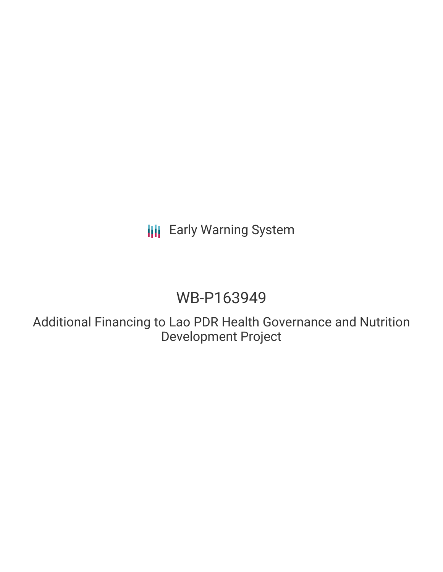# **III** Early Warning System

# WB-P163949

Additional Financing to Lao PDR Health Governance and Nutrition Development Project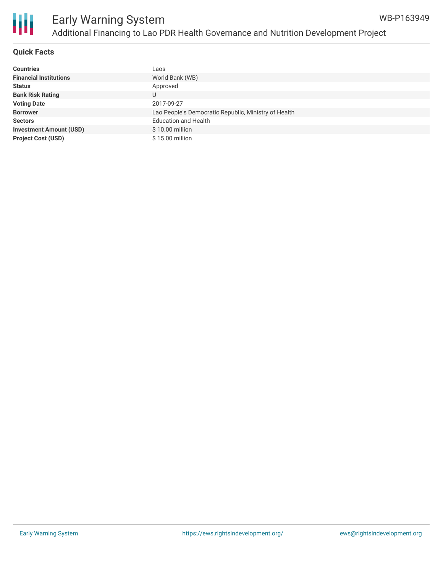

### **Quick Facts**

| <b>Countries</b>               | Laos                                                 |
|--------------------------------|------------------------------------------------------|
| <b>Financial Institutions</b>  | World Bank (WB)                                      |
| <b>Status</b>                  | Approved                                             |
| <b>Bank Risk Rating</b>        | U                                                    |
| <b>Voting Date</b>             | 2017-09-27                                           |
| <b>Borrower</b>                | Lao People's Democratic Republic, Ministry of Health |
| <b>Sectors</b>                 | <b>Education and Health</b>                          |
| <b>Investment Amount (USD)</b> | \$10.00 million                                      |
| <b>Project Cost (USD)</b>      | \$15.00 million                                      |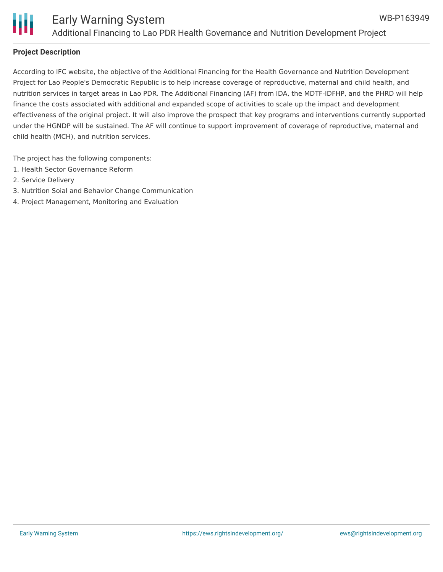

#### **Project Description**

According to IFC website, the objective of the Additional Financing for the Health Governance and Nutrition Development Project for Lao People's Democratic Republic is to help increase coverage of reproductive, maternal and child health, and nutrition services in target areas in Lao PDR. The Additional Financing (AF) from IDA, the MDTF-IDFHP, and the PHRD will help finance the costs associated with additional and expanded scope of activities to scale up the impact and development effectiveness of the original project. It will also improve the prospect that key programs and interventions currently supported under the HGNDP will be sustained. The AF will continue to support improvement of coverage of reproductive, maternal and child health (MCH), and nutrition services.

The project has the following components:

- 1. Health Sector Governance Reform
- 2. Service Delivery
- 3. Nutrition Soial and Behavior Change Communication
- 4. Project Management, Monitoring and Evaluation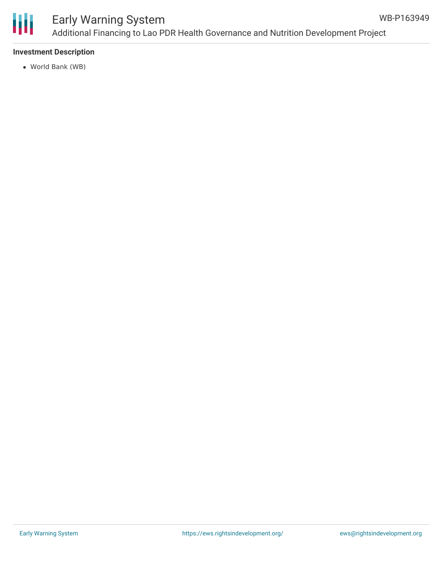

## Early Warning System Additional Financing to Lao PDR Health Governance and Nutrition Development Project

### **Investment Description**

World Bank (WB)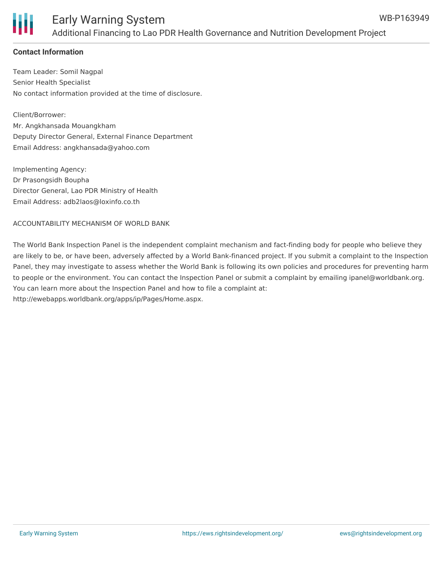

### **Contact Information**

Team Leader: Somil Nagpal Senior Health Specialist No contact information provided at the time of disclosure.

Client/Borrower: Mr. Angkhansada Mouangkham Deputy Director General, External Finance Department Email Address: angkhansada@yahoo.com

Implementing Agency: Dr Prasongsidh Boupha Director General, Lao PDR Ministry of Health Email Address: adb2laos@loxinfo.co.th

#### ACCOUNTABILITY MECHANISM OF WORLD BANK

The World Bank Inspection Panel is the independent complaint mechanism and fact-finding body for people who believe they are likely to be, or have been, adversely affected by a World Bank-financed project. If you submit a complaint to the Inspection Panel, they may investigate to assess whether the World Bank is following its own policies and procedures for preventing harm to people or the environment. You can contact the Inspection Panel or submit a complaint by emailing ipanel@worldbank.org. You can learn more about the Inspection Panel and how to file a complaint at: http://ewebapps.worldbank.org/apps/ip/Pages/Home.aspx.